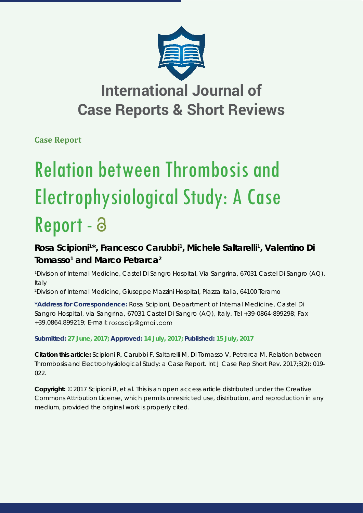

## **International Journal of Case Reports & Short Reviews**

**Case Report**

# Relation between Thrombosis and Electrophysiological Study: A Case Report - a

### Rosa Scipioni<sup>1\*</sup>, Francesco Carubbi<sup>1</sup>, Michele Saltarelli<sup>1</sup>, Valentino Di **Tomasso<sup>1</sup>** and Marco Petrarca<sup>2</sup>

*1 Division of Internal Medicine, Castel Di Sangro Hospital, Via Sangrina, 67031 Castel Di Sangro (AQ), Italy*

*2 Division of Internal Medicine, Giuseppe Mazzini Hospital, Piazza Italia, 64100 Teramo*

**\*Address for Correspondence:** Rosa Scipioni, Department of Internal Medicine, Castel Di Sangro Hospital, via Sangrina, 67031 Castel Di Sangro (AQ), Italy. Tel +39-0864-899298; Fax +39.0864.899219; E-mail:

**Submitted: 27 June, 2017; Approved: 14 July, 2017; Published: 15 July, 2017**

**Citation this article:** Scipioni R, Carubbi F, Saltarelli M, Di Tomasso V, Petrarca M. Relation between Thrombosis and Electrophysiological Study: a Case Report. Int J Case Rep Short Rev. 2017;3(2): 019- 022.

**Copyright:** © 2017 Scipioni R, et al. This is an open access article distributed under the Creative Commons Attribution License, which permits unrestricted use, distribution, and reproduction in any medium, provided the original work is properly cited.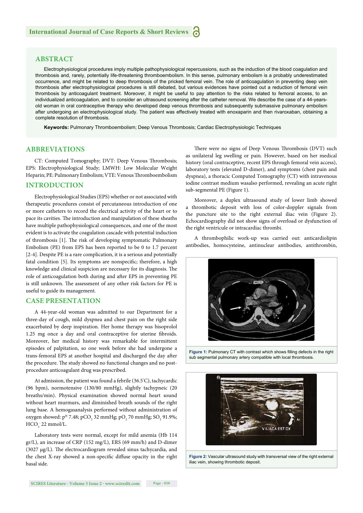#### **ABSTRACT**

Electrophysiological procedures imply multiple pathophysiological repercussions, such as the induction of the blood coagulation and thrombosis and, rarely, potentially life-threatening thromboembolism. In this sense, pulmonary embolism is a probably underestimated occurrence, and might be related to deep thrombosis of the pricked femoral vein. The role of anticoagulation in preventing deep vein thrombosis after electrophysiological procedures is still debated, but various evidences have pointed out a reduction of femoral vein thrombosis by anticoagulant treatment. Moreover, it might be useful to pay attention to the risks related to femoral access, to an individualized anticoagulation, and to consider an ultrasound screening after the catheter removal. We describe the case of a 44-yearsold woman in oral contraceptive therapy who developed deep venous thrombosis and subsequently submassive pulmonary embolism after undergoing an electrophysiological study. The patient was effectively treated with enoxaparin and then rivaroxaban, obtaining a complete resolution of thrombosis.

**Keywords:** Pulmonary Thromboembolism; Deep Venous Thrombosis; Cardiac Electrophysiologic Techniques

#### **ABBREVIATIONS**

CT: Computed Tomography; DVT: Deep Venous Thrombosis; EPS: Electrophysiological Study; LMWH: Low Molecular Weight Heparin; PE: Pulmonary Embolism; VTE: Venous Thromboembolism

#### **INTRODUCTION**

Electrophysiological Studies (EPS) whether or not associated with therapeutic procedures consist of percutaneous introduction of one or more catheters to record the electrical activity of the heart or to pace its cavities. The introduction and manipulation of these sheaths have multiple pathophysiological consequences, and one of the most evident is to activate the coagulation cascade with potential induction of thrombosis [1]. The risk of developing symptomatic Pulmonary Embolism (PE) from EPS has been reported to be 0 to 1.7 percent [2-4]. Despite PE is a rare complication, it is a serious and potentially fatal condition [5]. Its symptoms are nonspecific; therefore, a high knowledge and clinical suspicion are necessary for its diagnosis. The role of anticoagulation both during and after EPS in preventing PE is still unknown. The assessment of any other risk factors for PE is useful to guide its management.

#### **CASE PRESENTATION**

A 44-year-old woman was admitted to our Department for a three-day of cough, mild dyspnea and chest pain on the right side exacerbated by deep inspiration. Her home therapy was bisoprolol 1.25 mg once a day and oral contraceptive for uterine fibroids. Moreover, her medical history was remarkable for intermittent episodes of palpitation, so one week before she had undergone a trans-femoral EPS at another hospital and discharged the day after the procedure. The study showed no functional changes and no postprocedure anticoagulant drug was prescribed.

At admission, the patient was found a febrile (36.5° C), tachycardic (96 bpm), normotensive (130/80 mmHg), slightly tachypneic (20 breaths/min). Physical examination showed normal heart sound without heart murmurs, and diminished breath sounds of the right lung base. A hemogasanalysis performed without administration of oxygen showed: p<sup>H</sup> 7.48; pCO<sub>2</sub> 32 mmHg; pO<sub>2</sub> 70 mmHg; SO<sub>2</sub> 91.9%;  $HCO<sub>3</sub>$  22 mmol/L.

Laboratory tests were normal, except for mild anemia (Hb 114 gr/L), an increase of CRP (152 mg/L), ERS (69 mm/h) and D-dimer (3027  $\mu$ g/L). The electrocardiogram revealed sinus tachycardia, and the chest X-ray showed a non-specific diffuse opacity in the right basal side.

There were no signs of Deep Venous Thrombosis (DVT) such as unilateral leg swelling or pain. However, based on her medical history (oral contraceptive, recent EPS through femoral vein access), laboratory tests (elevated D-dimer), and symptoms (chest pain and dyspnea), a thoracic Computed Tomography (CT) with intravenous iodine contrast medium wasalso performed, revealing an acute right sub-segmental PE (Figure 1).

Moreover, a duplex ultrasound study of lower limb showed a thrombotic deposit with loss of color-doppler signals from the puncture site to the right external iliac vein (Figure 2). Echocardiography did not show signs of overload or dysfunction of the right ventricule or intracardiac thrombi.

A thrombophilic work-up was carried out: anticardiolipin antibodies, homocysteine, antinuclear antibodies, antithrombin,



Figure 1: Pulmonary CT with contrast which shows filling defects in the right sub segmental pulmonary artery compatible with local thrombosis.



**Figure 2:** Vascular ultrasound study with transversal view of the right external iliac vein, showing thrombotic deposit.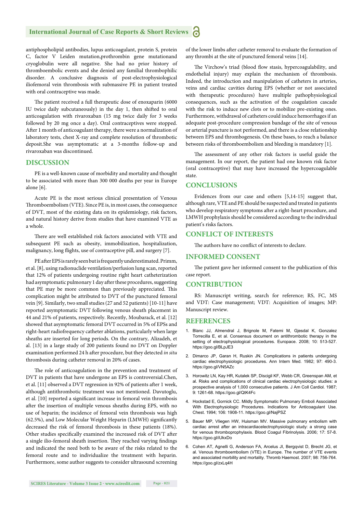#### **International Journal of Case Reports & Short Reviews** Ы

antiphospholipid antibodies, lupus anticoagulant, protein S, protein C, factor V Leiden mutation,prothrombin gene mutationand cryoglobulin were all negative. She had no prior history of thromboembolic events and she denied any familial thrombophilic disorder. A conclusive diagnosis of post-electrophysiological iliofemoral vein thrombosis with submassive PE in patient treated with oral contraceptive was made.

The patient received a full therapeutic dose of enoxaparin (6000 IU twice daily subcutaneously) in the day 1, then shifted to oral anticoagulation with rivaroxaban (15 mg twice daily for 3 weeks followed by 20 mg once a day). Oral contraceptives were stopped. After 1 month of anticoagulant therapy, there were a normalization of laboratory tests, chest X-ray and complete resolution of thrombotic deposit.She was asymptomatic at a 3-months follow-up and rivaroxaban was discontinued.

#### **DISCUSSION**

PE is a well-known cause of morbidity and mortality and thought to be associated with more than 300 000 deaths per year in Europe alone [6].

Acute PE is the most serious clinical presentation of Venous Thromboembolism (VTE). Since PE is, in most cases, the consequence of DVT, most of the existing data on its epidemiology, risk factors, and natural history derive from studies that have examined VTE as a whole.

There are well established risk factors associated with VTE and subsequent PE such as obesity, immobilization, hospitalization, malignancy, long flights, use of contraceptive pill, and surgery [7].

PE after EPS is rarely seen but is frequently underestimated. Primm, et al. [8], using radionuclide ventilation/perfusion lung scan, reported that 12% of patients undergoing routine right heart catheterization had asymptomatic pulmonary 1 day after these procedures, suggesting that PE may be more common than previously appreciated. This complication might be attributed to DVT of the punctured femoral vein [9]. Similarly, two small studies (27 and 52 patients) [10-11] have reported asymptomatic DVT following venous sheath placement in 44 and 21% of patients, respectively. Recently, Moubarack, et al. [12] showed that asymptomatic femoral DVT occurred in 5% of EPSs and right-heart radiofrequency catheter ablations, particularly when large sheaths are inserted for long periods. On the contrary, Alizadeh, et al. [13] in a large study of 200 patients found no DVT on Doppler examination performed 24 h after procedure, but they detected *in situ* thrombosis during catheter removal in 20% of cases.

The role of anticoagulation in the prevention and treatment of DVT in patients that have undergone an EPS is controversial.Chen, et al. [11] observed a DVT regression in 92% of patients after 1 week, although antithrombotic treatment was not mentioned. Davutoglu, et al. [10] reported a significant increase in femoral vein thrombosis after the insertion of multiple venous sheaths during EPS, with no use of heparin; the incidence of femoral vein thrombosis was high (62.5%), and Low Molecular Weight Heparin (LMWH) significantly decreased the risk of femoral thrombosis in these patients (18%). Other studies specifically examined the increased risk of DVT after a single ilio-femoral sheath insertion. They reached varying findings and indicated the need both to be aware of the risks related to the femoral route and to individualize the treatment with heparin. Furthermore, some author suggests to consider ultrasound screening of the lower limbs after catheter removal to evaluate the formation of any thrombi at the site of punctured femoral veins [14].

The Virchow's triad (blood flow stasis, hypercoagulability, and endothelial injury) may explain the mechanism of thrombosis. Indeed, the introduction and manipulation of catheters in arteries, veins and cardiac cavities during EPS (whether or not associated with therapeutic procedures) have multiple pathophysiological consequences, such as the activation of the coagulation cascade with the risk to induce new clots or to mobilize pre-existing ones. Furthermore, withdrawal of catheters could induce hemorrhages if an adequate post-procedure compression bandage of the site of venous or arterial puncture is not performed, and there is a close relationship between EPS and thrombogenesis. On these bases, to reach a balance between risks of thromboembolism and bleeding is mandatory [1].

The assessment of any other risk factors is useful guide the management. In our report, the patient had one known risk factor (oral contraceptive) that may have increased the hypercoagulable state.

#### **CONCLUSIONS**

Evidences from our case and others [5,14-15] suggest that, although rare, VTE and PE should be suspected and treated in patients who develop respiratory symptoms after a right-heart procedure, and LMWH prophylaxis should be considered according to the individual patient's risks factors.

#### **CONFLICT OF INTERESTS**

The authors have no conflict of interests to declare.

#### **INFORMED CONSENT**

The patient gave her informed consent to the publication of this case report.

#### **CONTRIBUTION**

RS: Manuscript writing, search for reference; RS, FC, MS and VDT: Case management; VDT: Acquisition of images; MP: Manuscript review.

#### **REFERENCES**

- 1. Blanc JJ, Almendral J, Brignole M, Fatemi M, Gjesdal K, Gonzalez Torrecilla E, et al. Consensus document on antithrombotic therapy in the setting of electrophysiological procedures. Europace. 2008; 10: 513-527. https://goo.gl/BLpJE3
- 2. Dimarco JP, Garan H, Ruskin JN. Complications in patients undergoing cardiac electrophysiologic procedures. Ann Intern Med. 1982; 97: 490-3. https://goo.gl/VN5AZc
- 3. Horowitz LN, Kay HR, Kutalek SP, Discigil KF, Webb CR, Greenspan AM, et al. Risks and complications of clinical cardiac electrophysiologic studies: a prospective analysis of 1,000 consecutive patients. J Am Coll Cardiol. 1987; 9: 1261-68. https://goo.gl/QtK4Fc
- 4. Hockstad E, Gornick CC. Mildly Symptomatic Pulmonary Emboli Associated With Electrophysiologic Procedures. Indications for Anticoagulant Use. Chest. 1994; 106: 1908-11. https://goo.gl/NajPSZ
- 5. Bauer MP, Vliegen HW, Huisman MV. Massive pulmonary embolism with cardiac arrest after an intracardiacelectrophysiologic study: a strong case for venous thromboprophylaxis. Blood Coagul Fibrinolysis. 2006; 17: 57-8. https://goo.gl/iUkxDo
- 6. Cohen AT, Agnelli G, Anderson FA, Arcelus JI, Bergqvist D, Brecht JG, et al. Venous thromboembolism (VTE) in Europe. The number of VTE events and associated morbility and mortality. Thromb Haemost. 2007; 98: 756-764. https://goo.gl/zxLq4H